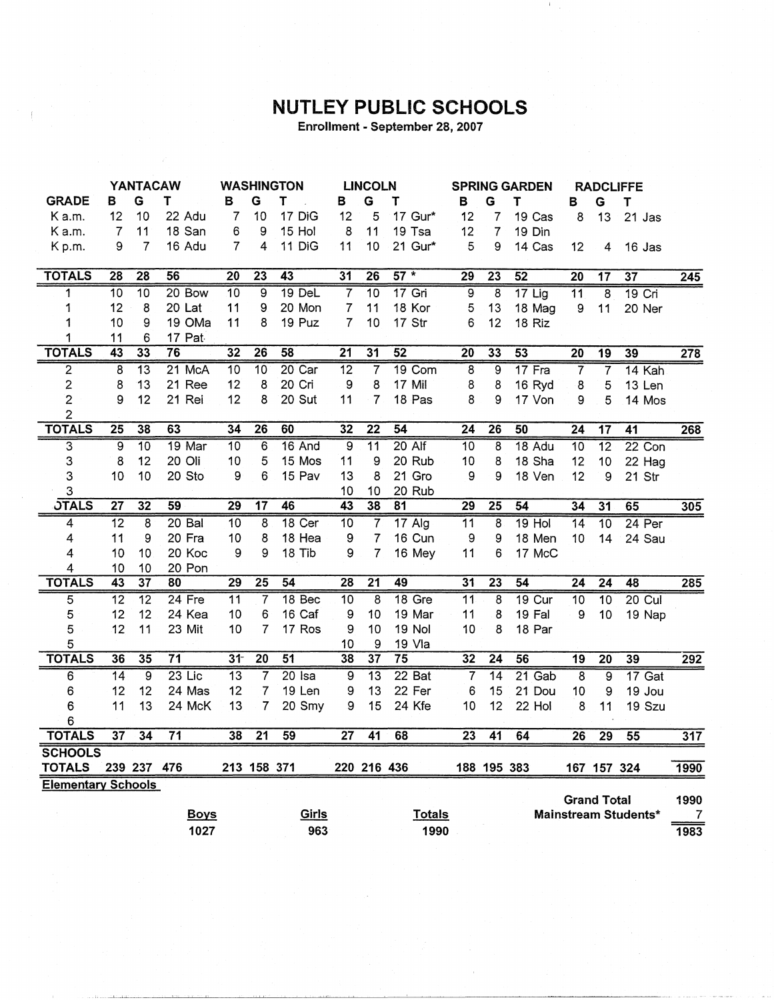## NUTLEY PUBLIC SCHOOLS

Enrollment - September 28, 2007

|                           | <b>YANTACAW</b> |                 | <b>WASHINGTON</b> |                 | <b>LINCOLN</b>  |                   |                 | <b>SPRING GARDEN</b> |                 | <b>RADCLIFFE</b> |                 |                 |                  |                    |                      |                  |
|---------------------------|-----------------|-----------------|-------------------|-----------------|-----------------|-------------------|-----------------|----------------------|-----------------|------------------|-----------------|-----------------|------------------|--------------------|----------------------|------------------|
| <b>GRADE</b>              | в               | G               | т                 | в               | G               | T                 | в               | G                    | Т               | в                | G               | Т               | в                | G                  | T                    |                  |
| K a.m.                    | 12              | 10              | 22 Adu            | $\overline{7}$  | 10              | 17 DiG            | 12              | 5                    | 17. Gur*        | 12               | 7               | 19 Cas          | 8                | 13                 | 21 Jas               |                  |
| K a.m.                    | $\overline{7}$  | 11              | 18 San            | 6               | 9               | 15 Hol            | 8               | 11                   | 19 Tsa          | 12               | 7               | 19 Din          |                  |                    |                      |                  |
| Kp.m.                     | 9               | $\overline{7}$  | 16 Adu            | $\overline{7}$  | 4               | 11 DiG            | 11              | 10                   | 21 Gur*         | 5                | 9               | 14 Cas          | 12               | 4                  | $16$ Jas             |                  |
|                           |                 |                 |                   |                 |                 |                   |                 |                      |                 |                  |                 |                 |                  |                    |                      |                  |
| <b>TOTALS</b>             | $\overline{28}$ | $\overline{28}$ | $\overline{56}$   | $\overline{20}$ | 23              | $\overline{43}$   | $\overline{31}$ | $\overline{26}$      | $57 *$          | 29               | $\overline{23}$ | 52              | $\overline{20}$  | 17                 | 37                   | $\overline{245}$ |
| 1                         | 10              | $\overline{10}$ | 20 Bow            | $\overline{10}$ | 9               | $19$ DeL          | 7               | $\overline{10}$      | $17$ Gri        | 9                | 8               | $17$ Lig        | $\overline{11}$  | $\overline{8}$     | $19$ Cri             |                  |
| 1                         | 12              | 8               | 20 Lat            | 11              | 9               | 20 Mon            | $\overline{7}$  | 11                   | 18 Kor          | 5                | 13              | 18 Mag          | $\boldsymbol{9}$ | 11                 | 20 Ner               |                  |
| 1                         | 10              | 9               | 19 OMa            | 11              | 8               | 19 Puz            | 7               | 10                   | 17 Str          | 6                | 12              | 18 Riz          |                  |                    |                      |                  |
| 1                         | 11              | 6               | 17 Pat            |                 |                 |                   |                 |                      |                 |                  |                 |                 |                  |                    |                      |                  |
| <b>TOTALS</b>             | 43              | $\overline{33}$ | $\overline{76}$   | $\overline{32}$ | $\overline{26}$ | 58                | $\overline{21}$ | $\overline{31}$      | $\overline{52}$ | $\overline{20}$  | 33              | 53              | $\overline{20}$  | 19                 | 39                   | 278              |
| 2                         | $\overline{8}$  | 13              | 21 McA            | $\overline{10}$ | $\overline{10}$ | $20$ Car          | $\overline{12}$ | 7                    | 19 Com          | $\overline{8}$   | 9               | $17$ Fra        | 7                | 7                  | 14 Kah               |                  |
| 2                         | 8               | 13              | 21 Ree            | 12              | 8               | 20 Cri            | 9               | 8                    | 17 Mil          | 8                | 8               | 16 Ryd          | 8                | 5                  | 13 Len               |                  |
| $\overline{\mathbf{c}}$   | 9               | 12              | 21 Rei            | 12              | 8               | 20 Sut            | 11              | 7                    | 18 Pas          | 8                | 9               | 17 Von          | 9                | 5                  | 14 Mos               |                  |
| $\overline{c}$            |                 |                 |                   |                 |                 |                   |                 |                      |                 |                  |                 |                 |                  |                    |                      |                  |
| <b>TOTALS</b>             | $\overline{25}$ | 38              | 63                | 34              | $\overline{26}$ | 60                | 32              | $\overline{22}$      | $\overline{54}$ | $\overline{24}$  | $\overline{26}$ | 50              | $\overline{24}$  | $\overline{17}$    | $\overline{41}$      | 268              |
| $\overline{3}$            | $\overline{9}$  | $\overline{10}$ | 19 Mar            | 10              | 6               | $16$ And          | 9               | $\overline{11}$      | $20$ Alf        | $\overline{10}$  | 8               | 18 Adu          | $\overline{10}$  | $\overline{12}$    | $22$ Con             |                  |
| 3                         | 8               | 12              | 20 Oli            | 10              | 5               | 15 Mos            | 11              | 9                    | 20 Rub          | 10               | 8               | 18 Sha          | 12               | 10                 | 22 Hag               |                  |
| 3                         | 10              | 10              | 20 Sto            | 9               | 6               | 15 Pav            | 13              | 8                    | 21 Gro          | 9                | 9               | 18 Ven          | 12               | 9                  | 21 Str               |                  |
| 3                         |                 |                 |                   |                 |                 |                   | 10              | 10                   | 20 Rub          |                  |                 |                 |                  |                    |                      |                  |
| <b>JTALS</b>              | $\overline{27}$ | 32              | 59                | 29              | $\overline{17}$ | 46                | 43              | 38                   | 81              | 29               | $\overline{25}$ | 54              | 34               | 31                 | 65                   | 305              |
| 4                         | $\overline{12}$ | 8               | $20$ Bal          | 10              | 8               | 18 <sub>cer</sub> | $\overline{10}$ | 7                    | $17$ Alg        | $\overline{11}$  | 8               | $19$ Hol        | 14               | $\overline{10}$    | $24$ Per             |                  |
| 4                         | 11              | 9               | 20 Fra            | 10              | 8               | 18 Hea            | 9               | 7                    | 16 Cun          | 9                | 9               | 18 Men          | 10               | 14                 | 24 Sau               |                  |
| 4                         | 10              | 10              | 20 Koc            | 9               | 9               | 18 Tib            | 9               | $\overline{7}$       | 16 Mey          | 11               | 6               | 17 McC          |                  |                    |                      |                  |
| 4                         | 10              | 10              | 20 Pon            |                 |                 |                   |                 |                      |                 |                  |                 |                 |                  |                    |                      |                  |
| <b>TOTALS</b>             | 43              | $\overline{37}$ | 80                | 29              | $\overline{25}$ | $\overline{54}$   | 28              | $\overline{21}$      | 49              | $\overline{31}$  | 23              | $\overline{54}$ | $\overline{24}$  | $\overline{24}$    | 48                   | 285              |
| $\overline{5}$            | 12              | $\overline{12}$ | 24 Fre            | $\overline{11}$ | $\overline{7}$  | 18 <sub>Bec</sub> | 10              | 8                    | $18$ Gre        | $\overline{11}$  | 8               | $19$ Cur        | $\overline{10}$  | $\overline{10}$    | $20$ Cul             |                  |
| 5                         | 12              | 12              | 24 Kea            | 10              | 6               | 16 Caf            | 9               | 10                   | 19 Mar          | 11               | 8               | 19 Fal          | $9\,$            | 10                 | 19 Nap               |                  |
| 5                         | 12              | 11              | 23 Mit            | 10              | $\overline{7}$  | 17 Ros            | 9               | 10                   | 19 Nol          | 10               | 8               | 18 Par          |                  |                    |                      |                  |
| 5                         |                 |                 |                   |                 |                 |                   | 10              | 9                    | 19 Vla          |                  |                 |                 |                  |                    |                      |                  |
| <b>TOTALS</b>             | 36              | 35              | $\overline{71}$   | 3 <sup>†</sup>  | $\overline{20}$ | $\overline{51}$   | 38              | 37                   | $\overline{75}$ | 32               | $\overline{24}$ | 56              | $\overline{19}$  | $\overline{20}$    | 39                   | $\overline{292}$ |
| $\overline{6}$            | $\overline{14}$ | $\overline{9}$  | $23$ Lic          | $\overline{13}$ | $\overline{7}$  | $20$ Isa          | $\overline{9}$  | $\overline{13}$      | 22 Bat          | 7                | $\overline{14}$ | $21$ Gab        | $\overline{8}$   | $\overline{9}$     | $17$ Gat             |                  |
| 6                         | 12              | 12              | 24 Mas            | 12              | $\overline{7}$  | 19 Len            | 9               | 13                   | 22 Fer          | 6                | 15              | 21 Dou          | 10               | 9                  | 19 Jou               |                  |
| 6                         | 11              | 13              | 24 McK            | 13              | 7               | 20 Smy            | 9               | 15                   | 24 Kfe          | 10               | 12              | 22 Hol          | 8                | 11                 | 19 Szu               |                  |
| 6                         |                 |                 |                   |                 |                 |                   |                 |                      |                 |                  |                 |                 |                  |                    |                      |                  |
| <b>TOTALS</b>             | $\overline{37}$ | $\overline{34}$ | $\overline{71}$   | 38              | $\overline{21}$ | 59                | $\overline{27}$ | 41                   | 68              | $\overline{23}$  | $\overline{41}$ | 64              | $\overline{26}$  | $\overline{29}$    | 55                   | 317              |
| <b>SCHOOLS</b>            |                 |                 |                   |                 |                 |                   |                 |                      |                 |                  |                 |                 |                  |                    |                      |                  |
| <b>TOTALS</b>             |                 | 239 237         | 476               |                 | 213 158 371     |                   |                 | 220 216 436          |                 |                  | 188 195 383     |                 |                  | 167 157 324        |                      | 1990             |
| <b>Elementary Schools</b> |                 |                 |                   |                 |                 |                   |                 |                      |                 |                  |                 |                 |                  |                    |                      |                  |
|                           |                 |                 |                   |                 |                 |                   |                 |                      |                 |                  |                 |                 |                  | <b>Grand Total</b> |                      | 1990             |
|                           |                 |                 | <b>Boys</b>       |                 |                 | <u>Girls</u>      |                 |                      | <b>Totals</b>   |                  |                 |                 |                  |                    | Mainstream Students* | 7                |
|                           |                 |                 | 1027              |                 |                 | 963               |                 |                      | 1990            |                  |                 |                 |                  |                    |                      | 1983             |